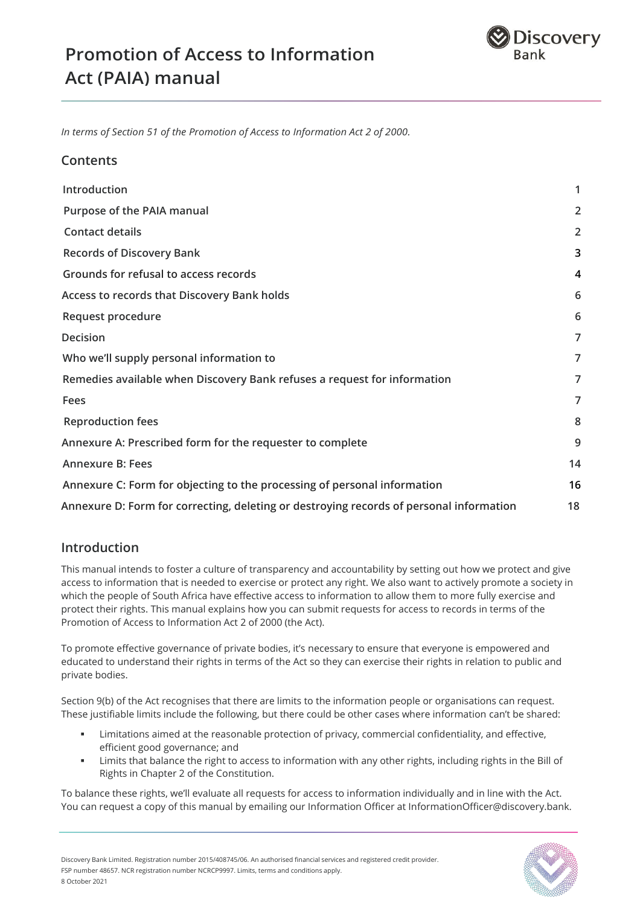

*In terms of Section 51 of the Promotion of Access to Information Act 2 of 2000.*

### **Contents**

| Introduction                                                                            | 1              |
|-----------------------------------------------------------------------------------------|----------------|
| Purpose of the PAIA manual                                                              | $\overline{2}$ |
| <b>Contact details</b>                                                                  | 2              |
| <b>Records of Discovery Bank</b>                                                        | 3              |
| Grounds for refusal to access records                                                   | 4              |
| Access to records that Discovery Bank holds                                             | 6              |
| Request procedure                                                                       | 6              |
| Decision                                                                                | 7              |
| Who we'll supply personal information to                                                | 7              |
| Remedies available when Discovery Bank refuses a request for information                | 7              |
| Fees                                                                                    | $\overline{7}$ |
| <b>Reproduction fees</b>                                                                | 8              |
| Annexure A: Prescribed form for the requester to complete                               | 9              |
| <b>Annexure B: Fees</b>                                                                 | 14             |
| Annexure C: Form for objecting to the processing of personal information                | 16             |
| Annexure D: Form for correcting, deleting or destroying records of personal information | 18             |

### **Introduction**

This manual intends to foster a culture of transparency and accountability by setting out how we protect and give access to information that is needed to exercise or protect any right. We also want to actively promote a society in which the people of South Africa have effective access to information to allow them to more fully exercise and protect their rights. This manual explains how you can submit requests for access to records in terms of the Promotion of Access to Information Act 2 of 2000 (the Act).

To promote effective governance of private bodies, it's necessary to ensure that everyone is empowered and educated to understand their rights in terms of the Act so they can exercise their rights in relation to public and private bodies.

Section 9(b) of the Act recognises that there are limits to the information people or organisations can request. These justifiable limits include the following, but there could be other cases where information can't be shared:

- Limitations aimed at the reasonable protection of privacy, commercial confidentiality, and effective, efficient good governance; and
- Limits that balance the right to access to information with any other rights, including rights in the Bill of Rights in Chapter 2 of the Constitution.

To balance these rights, we'll evaluate all requests for access to information individually and in line with the Act. You can request a copy of this manual by emailing our Information Officer at InformationOfficer@discovery.bank.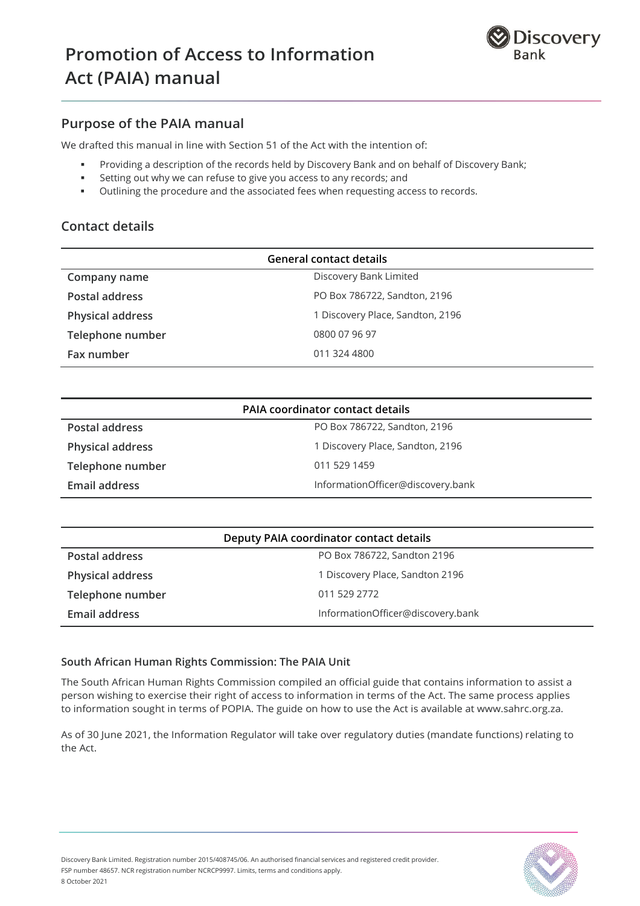

## **Purpose of the PAIA manual**

We drafted this manual in line with Section 51 of the Act with the intention of:

- Providing a description of the records held by Discovery Bank and on behalf of Discovery Bank;
- Setting out why we can refuse to give you access to any records; and
- Outlining the procedure and the associated fees when requesting access to records.

## **Contact details**

| <b>General contact details</b> |                                  |  |  |
|--------------------------------|----------------------------------|--|--|
| Company name                   | Discovery Bank Limited           |  |  |
| Postal address                 | PO Box 786722, Sandton, 2196     |  |  |
| <b>Physical address</b>        | 1 Discovery Place, Sandton, 2196 |  |  |
| Telephone number               | 0800 07 96 97                    |  |  |
| Fax number                     | 011 324 4800                     |  |  |

| <b>PAIA coordinator contact details</b> |                                   |  |  |
|-----------------------------------------|-----------------------------------|--|--|
| <b>Postal address</b>                   | PO Box 786722, Sandton, 2196      |  |  |
| <b>Physical address</b>                 | 1 Discovery Place, Sandton, 2196  |  |  |
| Telephone number                        | 011 529 1459                      |  |  |
| Email address                           | InformationOfficer@discovery.bank |  |  |

| Deputy PAIA coordinator contact details |                                   |  |  |
|-----------------------------------------|-----------------------------------|--|--|
| Postal address                          | PO Box 786722, Sandton 2196       |  |  |
| <b>Physical address</b>                 | 1 Discovery Place, Sandton 2196   |  |  |
| Telephone number                        | 011 529 2772                      |  |  |
| Email address                           | InformationOfficer@discovery.bank |  |  |

#### **South African Human Rights Commission: The PAIA Unit**

The South African Human Rights Commission compiled an official guide that contains information to assist a person wishing to exercise their right of access to information in terms of the Act. The same process applies to information sought in terms of POPIA. The guide on how to use the Act is available at www.sahrc.org.za.

As of 30 June 2021, the Information Regulator will take over regulatory duties (mandate functions) relating to the Act.

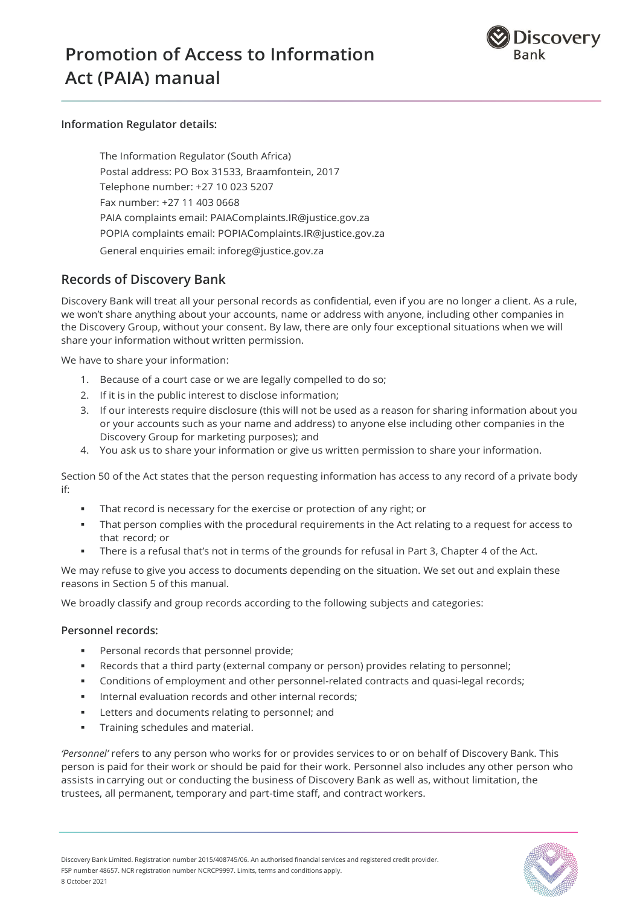



#### **Information Regulator details:**

The Information Regulator (South Africa) Postal address: PO Box 31533, Braamfontein, 2017 Telephone number: +27 10 023 5207 Fax number: +27 11 403 0668 PAIA complaints email: PAIAComplaints.IR@justice.gov.za POPIA complaints email: POPIAComplaints.IR@justice.gov.za General enquiries email: inforeg@justice.gov.za

### **Records of Discovery Bank**

Discovery Bank will treat all your personal records as confidential, even if you are no longer a client. As a rule, we won't share anything about your accounts, name or address with anyone, including other companies in the Discovery Group, without your consent. By law, there are only four exceptional situations when we will share your information without written permission.

We have to share your information:

- 1. Because of a court case or we are legally compelled to do so;
- 2. If it is in the public interest to disclose information;
- 3. If our interests require disclosure (this will not be used as a reason for sharing information about you or your accounts such as your name and address) to anyone else including other companies in the Discovery Group for marketing purposes); and
- 4. You ask us to share your information or give us written permission to share your information.

Section 50 of the Act states that the person requesting information has access to any record of a private body if:

- That record is necessary for the exercise or protection of any right; or
- That person complies with the procedural requirements in the Act relating to a request for access to that record; or
- There is a refusal that's not in terms of the grounds for refusal in Part 3, Chapter 4 of the Act.

We may refuse to give you access to documents depending on the situation. We set out and explain these reasons in Section 5 of this manual.

We broadly classify and group records according to the following subjects and categories:

#### **Personnel records:**

- **Personal records that personnel provide;**
- Records that a third party (external company or person) provides relating to personnel;
- Conditions of employment and other personnel-related contracts and quasi-legal records;
- **Internal evaluation records and other internal records;**
- Letters and documents relating to personnel; and
- **Training schedules and material.**

*'Personnel'* refers to any person who works for or provides services to or on behalf of Discovery Bank. This person is paid for their work or should be paid for their work. Personnel also includes any other person who assists in carrying out or conducting the business of Discovery Bank as well as, without limitation, the trustees, all permanent, temporary and part-time staff, and contract workers.

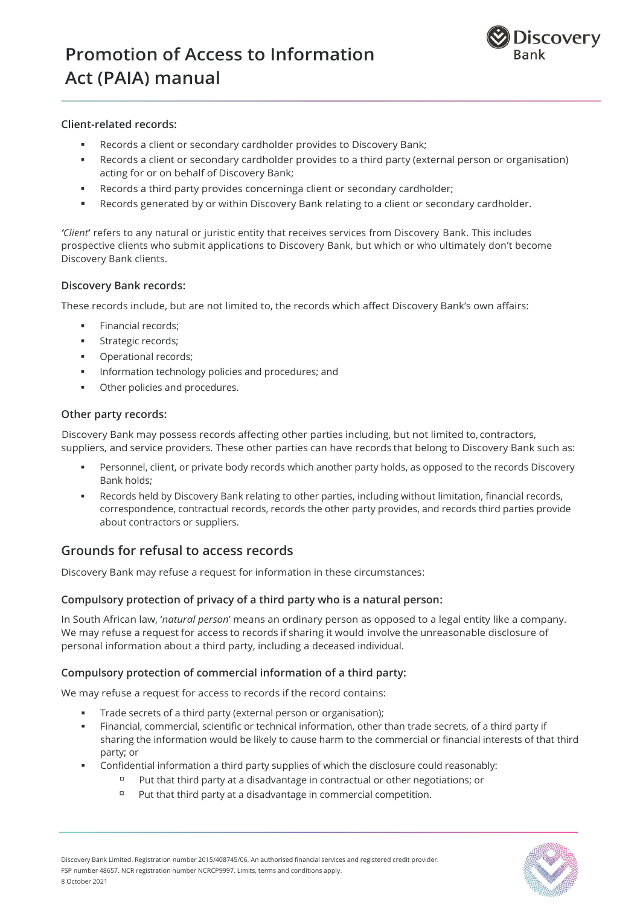

#### **Client-related records:**

- Records a client or secondary cardholder provides to Discovery Bank;
- Records a client or secondary cardholder provides to a third party (external person or organisation) acting for or on behalf of Discovery Bank;
- Records a third party provides concerninga client or secondary cardholder;
- Records generated by or within Discovery Bank relating to a client or secondary cardholder.

*'Client***'** refers to any natural or juristic entity that receives services from Discovery Bank. This includes prospective clients who submit applications to Discovery Bank, but which or who ultimately don't become Discovery Bank clients.

#### **Discovery Bank records:**

These records include, but are not limited to, the records which affect Discovery Bank's own affairs:

- **Financial records:**
- Strategic records;
- Operational records;
- Information technology policies and procedures; and
- **•** Other policies and procedures.

#### **Other party records:**

Discovery Bank may possess records affecting other parties including, but not limited to, contractors, suppliers, and service providers. These other parties can have records that belong to Discovery Bank such as:

- Personnel, client, or private body records which another party holds, as opposed to the records Discovery Bank holds;
- Records held by Discovery Bank relating to other parties, including without limitation, financial records, correspondence, contractual records, records the other party provides, and records third parties provide about contractors or suppliers.

### **Grounds for refusal to access records**

Discovery Bank may refuse a request for information in these circumstances:

#### **Compulsory protection of privacy of a third party who is a natural person:**

In South African law, '*natural person*' means an ordinary person as opposed to a legal entity like a company. We may refuse a request for access to records if sharing it would involve the unreasonable disclosure of personal information about a third party, including a deceased individual.

#### **Compulsory protection of commercial information of a third party:**

We may refuse a request for access to records if the record contains:

- Trade secrets of a third party (external person or organisation);
- Financial, commercial, scientific or technical information, other than trade secrets, of a third party if sharing the information would be likely to cause harm to the commercial or financial interests of that third party; or
- Confidential information a third party supplies of which the disclosure could reasonably:
	- Put that third party at a disadvantage in contractual or other negotiations; or
	- $P$ ut that third party at a disadvantage in commercial competition.

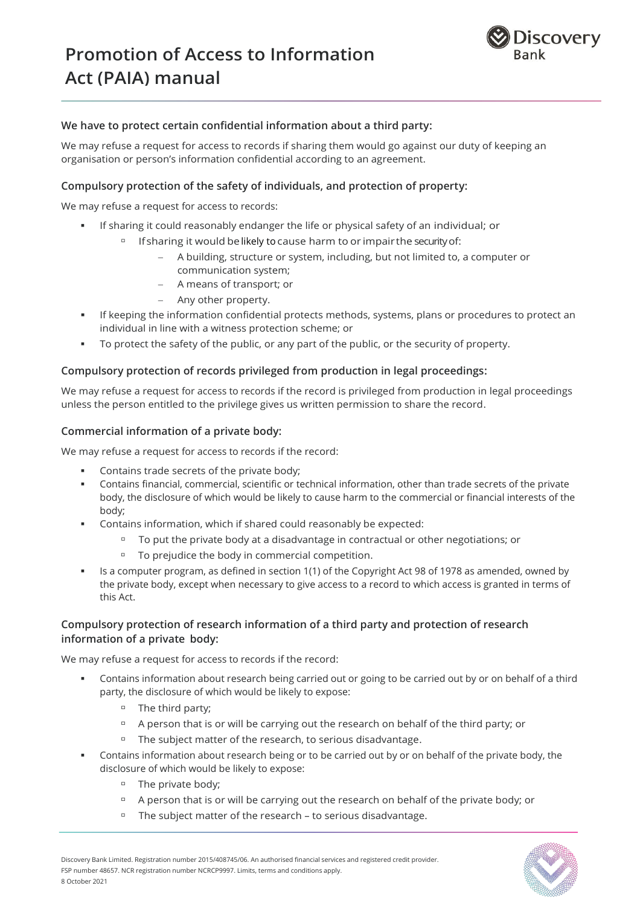

#### **We have to protect certain confidential information about a third party:**

We may refuse a request for access to records if sharing them would go against our duty of keeping an organisation or person's information confidential according to an agreement.

#### **Compulsory protection of the safety of individuals, and protection of property:**

We may refuse a request for access to records:

- If sharing it could reasonably endanger the life or physical safety of an individual; or
	- □ If sharing it would be likely to cause harm to or impair the security of:
		- A building, structure or system, including, but not limited to, a computer or communication system;
		- A means of transport; or
		- Any other property.
- If keeping the information confidential protects methods, systems, plans or procedures to protect an individual in line with a witness protection scheme; or
- To protect the safety of the public, or any part of the public, or the security of property.

#### **Compulsory protection of records privileged from production in legal proceedings:**

We may refuse a request for access to records if the record is privileged from production in legal proceedings unless the person entitled to the privilege gives us written permission to share the record.

#### **Commercial information of a private body:**

We may refuse a request for access to records if the record:

- Contains trade secrets of the private body;
- Contains financial, commercial, scientific or technical information, other than trade secrets of the private body, the disclosure of which would be likely to cause harm to the commercial or financial interests of the body;
- Contains information, which if shared could reasonably be expected:
	- □ To put the private body at a disadvantage in contractual or other negotiations; or
	- To prejudice the body in commercial competition.
- Is a computer program, as defined in section 1(1) of the Copyright Act 98 of 1978 as amended, owned by the private body, except when necessary to give access to a record to which access is granted in terms of this Act.

#### **Compulsory protection of research information of a third party and protection of research information of a private body:**

We may refuse a request for access to records if the record:

- Contains information about research being carried out or going to be carried out by or on behalf of a third party, the disclosure of which would be likely to expose:
	- □ The third party;
	- □ A person that is or will be carrying out the research on behalf of the third party; or
	- The subject matter of the research, to serious disadvantage.
- Contains information about research being or to be carried out by or on behalf of the private body, the disclosure of which would be likely to expose:
	- The private body;
	- □ A person that is or will be carrying out the research on behalf of the private body; or
	- The subject matter of the research to serious disadvantage.

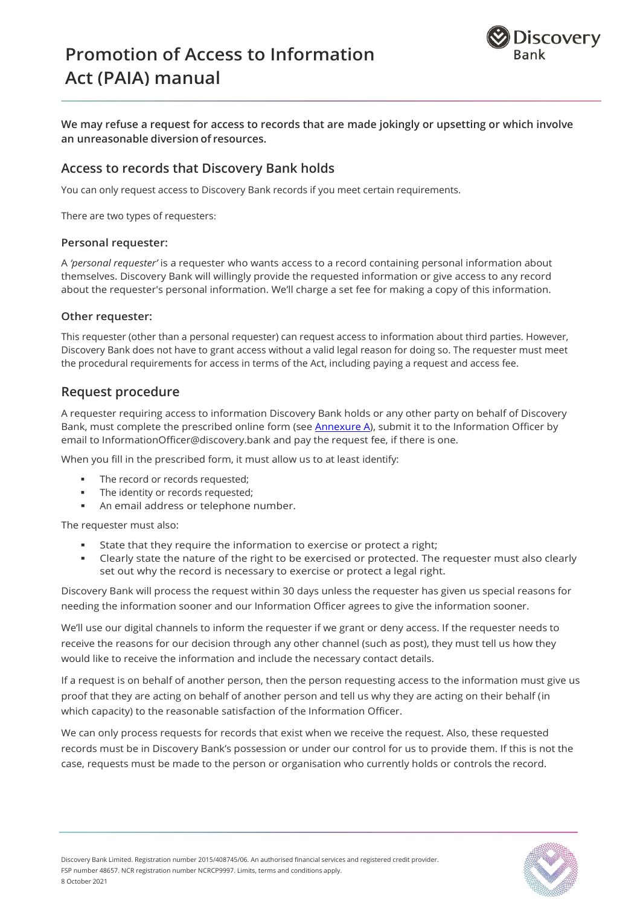

**We may refuse a request for access to records that are made jokingly or upsetting or which involve an unreasonable diversion of resources.**

## **Access to records that Discovery Bank holds**

You can only request access to Discovery Bank records if you meet certain requirements.

There are two types of requesters:

#### **Personal requester:**

A *'personal requester'* is a requester who wants access to a record containing personal information about themselves. Discovery Bank will willingly provide the requested information or give access to any record about the requester's personal information. We'll charge a set fee for making a copy of this information.

#### **Other requester:**

This requester (other than a personal requester) can request access to information about third parties. However, Discovery Bank does not have to grant access without a valid legal reason for doing so. The requester must meet the procedural requirements for access in terms of the Act, including paying a request and access fee.

#### **Request procedure**

A requester requiring access to information Discovery Bank holds or any other party on behalf of Discovery Bank, must complete the prescribed online form (see [Annexure A\)](https://cms.discovery.bank/site/binaries/content/assets/assets/promotion-of-access-to-information-act-manual-paia-.pdf), submit it to the Information Officer by email to InformationOfficer@discovery.bank and pay the request fee, if there is one.

When you fill in the prescribed form, it must allow us to at least identify:

- The record or records requested;
- The identity or records requested;
- An email address or telephone number.

The requester must also:

- State that they require the information to exercise or protect a right;
- Clearly state the nature of the right to be exercised or protected. The requester must also clearly set out why the record is necessary to exercise or protect a legal right.

Discovery Bank will process the request within 30 days unless the requester has given us special reasons for needing the information sooner and our Information Officer agrees to give the information sooner.

We'll use our digital channels to inform the requester if we grant or deny access. If the requester needs to receive the reasons for our decision through any other channel (such as post), they must tell us how they would like to receive the information and include the necessary contact details.

If a request is on behalf of another person, then the person requesting access to the information must give us proof that they are acting on behalf of another person and tell us why they are acting on their behalf (in which capacity) to the reasonable satisfaction of the Information Officer.

We can only process requests for records that exist when we receive the request. Also, these requested records must be in Discovery Bank's possession or under our control for us to provide them. If this is not the case, requests must be made to the person or organisation who currently holds or controls the record.

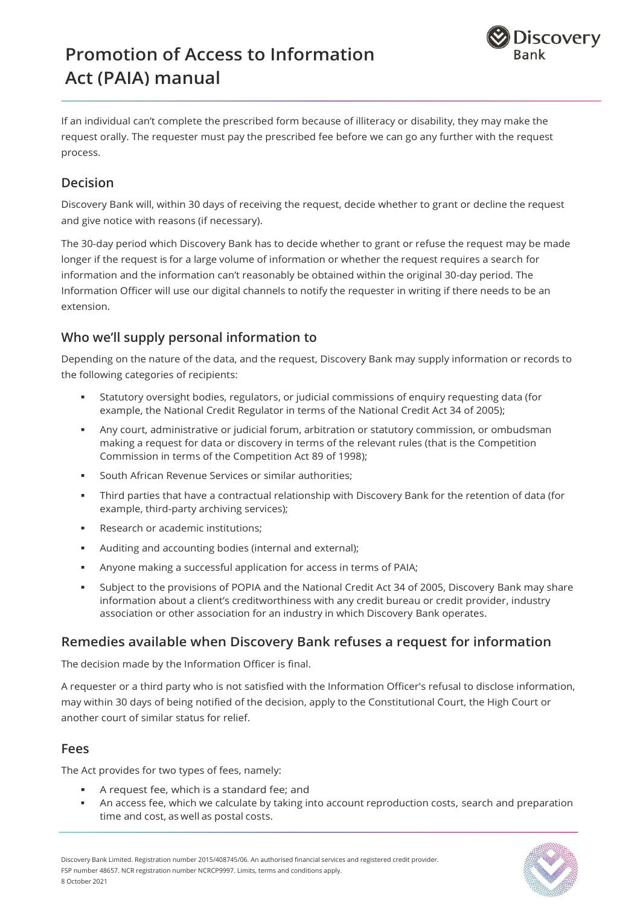

If an individual can't complete the prescribed form because of illiteracy or disability, they may make the request orally. The requester must pay the prescribed fee before we can go any further with the request process.

## **Decision**

Discovery Bank will, within 30 days of receiving the request, decide whether to grant or decline the request and give notice with reasons (if necessary).

The 30-day period which Discovery Bank has to decide whether to grant or refuse the request may be made longer if the request is for a large volume of information or whether the request requires a search for information and the information can't reasonably be obtained within the original 30-day period. The Information Officer will use our digital channels to notify the requester in writing if there needs to be an extension.

## **Who we'll supply personal information to**

Depending on the nature of the data, and the request, Discovery Bank may supply information or records to the following categories of recipients:

- Statutory oversight bodies, regulators, or judicial commissions of enquiry requesting data (for example, the National Credit Regulator in terms of the National Credit Act 34 of 2005);
- Any court, administrative or judicial forum, arbitration or statutory commission, or ombudsman making a request for data or discovery in terms of the relevant rules (that is the Competition Commission in terms of the Competition Act 89 of 1998);
- **South African Revenue Services or similar authorities;**
- Third parties that have a contractual relationship with Discovery Bank for the retention of data (for example, third-party archiving services);
- **Research or academic institutions;**
- Auditing and accounting bodies (internal and external);
- Anyone making a successful application for access in terms of PAIA;
- Subject to the provisions of POPIA and the National Credit Act 34 of 2005, Discovery Bank may share information about a client's creditworthiness with any credit bureau or credit provider, industry association or other association for an industry in which Discovery Bank operates.

## **Remedies available when Discovery Bank refuses a request for information**

The decision made by the Information Officer is final.

A requester or a third party who is not satisfied with the Information Officer's refusal to disclose information, may within 30 days of being notified of the decision, apply to the Constitutional Court, the High Court or another court of similar status for relief.

## **Fees**

The Act provides for two types of fees, namely:

- A request fee, which is a standard fee; and
- An access fee, which we calculate by taking into account reproduction costs, search and preparation time and cost, as well as postal costs.

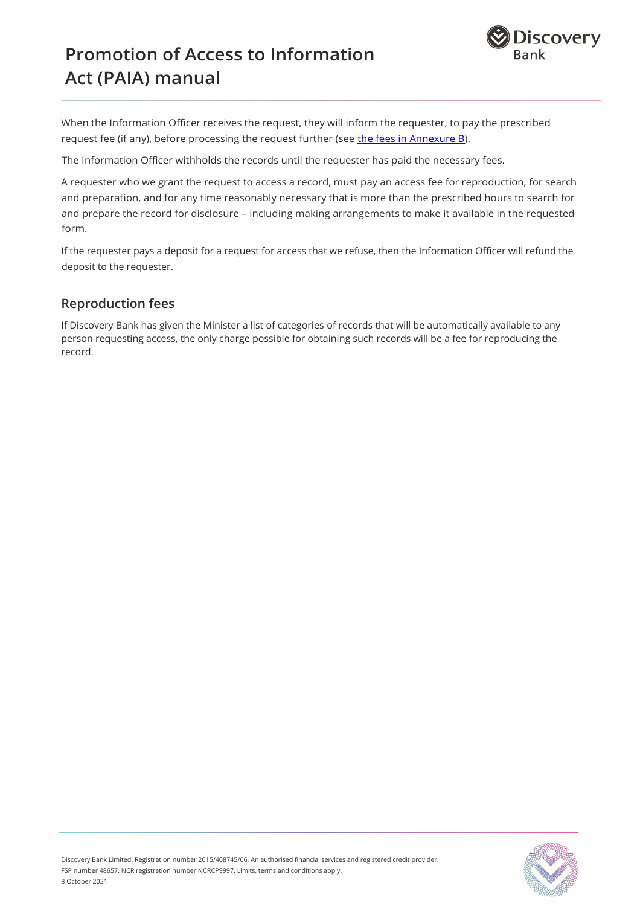

When the Information Officer receives the request, they will inform the requester, to pay the prescribed request fee (if any), before processing the request further (see [the fees in Annexure B\)](https://cms.discovery.bank/site/binaries/content/assets/assets/annexure-b.pdf).

The Information Officer withholds the records until the requester has paid the necessary fees.

A requester who we grant the request to access a record, must pay an access fee for reproduction, for search and preparation, and for any time reasonably necessary that is more than the prescribed hours to search for and prepare the record for disclosure – including making arrangements to make it available in the requested form.

If the requester pays a deposit for a request for access that we refuse, then the Information Officer will refund the deposit to the requester.

### **Reproduction fees**

If Discovery Bank has given the Minister a list of categories of records that will be automatically available to any person requesting access, the only charge possible for obtaining such records will be a fee for reproducing the record.

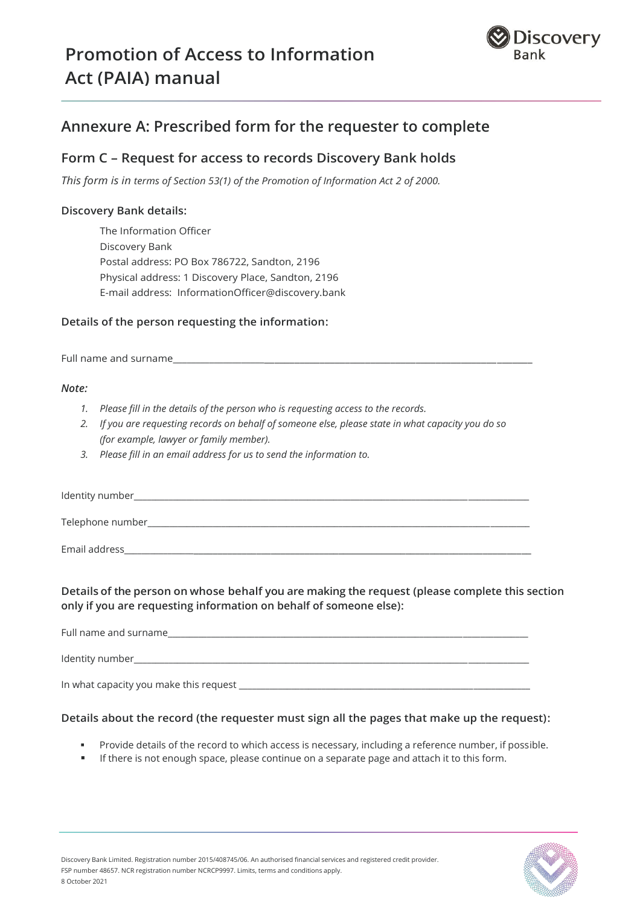

## **Annexure A: Prescribed form for the requester to complete**

## **Form C – Request for access to records Discovery Bank holds**

*This form is in terms of Section 53(1) of the Promotion of Information Act 2 of 2000.*

#### **Discovery Bank details:**

The Information Officer Discovery Bank Postal address: PO Box 786722, Sandton, 2196 Physical address: 1 Discovery Place, Sandton, 2196 E-mail address: InformationOfficer@discovery.bank

#### **Details of the person requesting the information:**

Full name and surname

#### *Note:*

- *1. Please fill in the details of the person who is requesting access to the records.*
- *2. If you are requesting records on behalf of someone else, please state in what capacity you do so (for example, lawyer or family member).*
- *3. Please fill in an email address for us to send the information to.*

Identity number\_ Telephone number\_\_\_\_\_\_\_\_\_\_\_\_\_\_\_\_\_\_\_\_\_\_\_\_\_\_\_\_\_\_\_\_\_\_\_\_\_\_\_\_\_\_\_\_\_\_\_\_\_\_\_\_\_\_\_\_\_\_\_\_\_\_\_\_\_\_\_\_\_\_\_\_\_\_\_\_\_\_\_\_\_\_\_\_\_\_\_\_

Email address\_\_\_\_\_\_\_\_\_\_\_\_\_\_\_\_\_\_\_\_\_\_\_\_\_\_\_\_\_\_\_\_\_\_\_\_\_\_\_\_\_\_\_\_\_\_\_\_\_\_\_\_\_\_\_\_\_\_\_\_\_\_\_\_\_\_\_\_\_\_\_\_\_\_\_\_\_\_\_\_\_\_\_\_\_\_

#### **Details of the person on whose behalf you are making the request (please complete this section only if you are requesting information on behalf of someone else):**

| Full name and surname                  |  |
|----------------------------------------|--|
| Identity number                        |  |
| In what capacity you make this request |  |

#### **Details about the record (the requester must sign all the pages that make up the request):**

- Provide details of the record to which access is necessary, including a reference number, if possible.
- If there is not enough space, please continue on a separate page and attach it to this form.

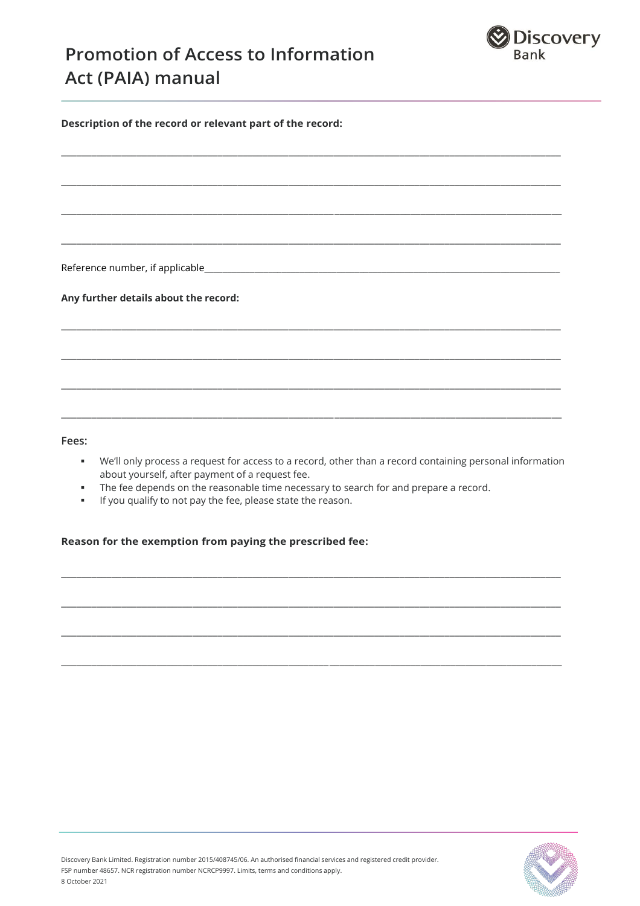

**Description of the record or relevant part of the record:**  $\_$  ,  $\_$  ,  $\_$  ,  $\_$  ,  $\_$  ,  $\_$  ,  $\_$  ,  $\_$  ,  $\_$  ,  $\_$  ,  $\_$  ,  $\_$  ,  $\_$  ,  $\_$  ,  $\_$  ,  $\_$  ,  $\_$  ,  $\_$  ,  $\_$  ,  $\_$  ,  $\_$  ,  $\_$  ,  $\_$  ,  $\_$  ,  $\_$  ,  $\_$  ,  $\_$  ,  $\_$  ,  $\_$  ,  $\_$  ,  $\_$  ,  $\_$  ,  $\_$  ,  $\_$  ,  $\_$  ,  $\_$  ,  $\_$  , \_\_\_\_\_\_\_\_\_\_\_\_\_\_\_\_\_\_\_\_\_\_\_\_\_\_\_\_\_\_\_\_\_\_\_\_\_\_\_\_\_\_\_\_\_\_\_\_\_\_\_\_\_\_\_\_\_\_\_\_\_\_\_\_\_\_\_\_\_\_\_\_\_\_\_\_\_\_\_\_\_\_\_\_\_\_\_\_\_\_\_\_\_\_\_\_\_\_\_ \_\_\_\_\_\_\_\_\_\_\_\_\_\_\_\_\_\_\_\_\_\_\_\_\_\_\_\_\_\_\_\_\_\_\_\_\_\_\_\_\_\_\_\_\_\_\_\_\_\_\_\_\_\_\_\_\_\_\_\_\_\_\_\_\_\_\_\_\_\_\_\_\_\_\_\_\_\_\_\_\_\_\_\_\_\_\_\_\_\_\_\_\_\_\_\_\_\_\_  $\_$  ,  $\_$  ,  $\_$  ,  $\_$  ,  $\_$  ,  $\_$  ,  $\_$  ,  $\_$  ,  $\_$  ,  $\_$  ,  $\_$  ,  $\_$  ,  $\_$  ,  $\_$  ,  $\_$  ,  $\_$  ,  $\_$  ,  $\_$  ,  $\_$  ,  $\_$  ,  $\_$  ,  $\_$  ,  $\_$  ,  $\_$  ,  $\_$  ,  $\_$  ,  $\_$  ,  $\_$  ,  $\_$  ,  $\_$  ,  $\_$  ,  $\_$  ,  $\_$  ,  $\_$  ,  $\_$  ,  $\_$  ,  $\_$  , Reference number, if applicable **Any further details about the record:** \_\_\_\_\_\_\_\_\_\_\_\_\_\_\_\_\_\_\_\_\_\_\_\_\_\_\_\_\_\_\_\_\_\_\_\_\_\_\_\_\_\_\_\_\_\_\_\_\_\_\_\_\_\_\_\_\_\_\_\_\_\_\_\_\_\_\_\_\_\_\_\_\_\_\_\_\_\_\_\_\_\_\_\_\_\_\_\_\_\_\_\_\_\_\_\_\_\_\_  $\_$  ,  $\_$  ,  $\_$  ,  $\_$  ,  $\_$  ,  $\_$  ,  $\_$  ,  $\_$  ,  $\_$  ,  $\_$  ,  $\_$  ,  $\_$  ,  $\_$  ,  $\_$  ,  $\_$  ,  $\_$  ,  $\_$  ,  $\_$  ,  $\_$  ,  $\_$  ,  $\_$  ,  $\_$  ,  $\_$  ,  $\_$  ,  $\_$  ,  $\_$  ,  $\_$  ,  $\_$  ,  $\_$  ,  $\_$  ,  $\_$  ,  $\_$  ,  $\_$  ,  $\_$  ,  $\_$  ,  $\_$  ,  $\_$  , \_\_\_\_\_\_\_\_\_\_\_\_\_\_\_\_\_\_\_\_\_\_\_\_\_\_\_\_\_\_\_\_\_\_\_\_\_\_\_\_\_\_\_\_\_\_\_\_\_\_\_\_\_\_\_\_\_\_\_\_\_\_\_\_\_\_\_\_\_\_\_\_\_\_\_\_\_\_\_\_\_\_\_\_\_\_\_\_\_\_\_\_\_\_\_\_\_\_\_

#### **Fees:**

 We'll only process a request for access to a record, other than a record containing personal information about yourself, after payment of a request fee.

\_\_\_\_\_\_\_\_\_\_\_\_\_\_\_\_\_\_\_\_\_\_\_\_\_\_\_\_\_\_\_\_\_\_\_\_\_\_\_\_\_\_\_\_\_\_\_\_\_\_\_\_\_\_\_\_\_\_\_\_\_\_\_\_\_\_\_\_\_\_\_\_\_\_\_\_\_\_\_\_\_\_\_\_\_\_\_\_\_\_\_\_\_\_\_\_\_\_\_

 $\_$  ,  $\_$  ,  $\_$  ,  $\_$  ,  $\_$  ,  $\_$  ,  $\_$  ,  $\_$  ,  $\_$  ,  $\_$  ,  $\_$  ,  $\_$  ,  $\_$  ,  $\_$  ,  $\_$  ,  $\_$  ,  $\_$  ,  $\_$  ,  $\_$  ,  $\_$  ,  $\_$  ,  $\_$  ,  $\_$  ,  $\_$  ,  $\_$  ,  $\_$  ,  $\_$  ,  $\_$  ,  $\_$  ,  $\_$  ,  $\_$  ,  $\_$  ,  $\_$  ,  $\_$  ,  $\_$  ,  $\_$  ,  $\_$  ,

\_\_\_\_\_\_\_\_\_\_\_\_\_\_\_\_\_\_\_\_\_\_\_\_\_\_\_\_\_\_\_\_\_\_\_\_\_\_\_\_\_\_\_\_\_\_\_\_\_\_\_\_\_\_\_\_\_\_\_\_\_\_\_\_\_\_\_\_\_\_\_\_\_\_\_\_\_\_\_\_\_\_\_\_\_\_\_\_\_\_\_\_\_\_\_\_\_\_\_

\_\_\_\_\_\_\_\_\_\_\_\_\_\_\_\_\_\_\_\_\_\_\_\_\_\_\_\_\_\_\_\_\_\_\_\_\_\_\_\_\_\_\_\_\_\_\_\_\_\_\_\_\_\_\_\_\_\_\_\_\_\_\_\_\_\_\_\_\_\_\_\_\_\_\_\_\_\_\_\_\_\_\_\_\_\_\_\_\_\_\_\_\_\_\_\_\_\_\_

\_\_\_\_\_\_\_\_\_\_\_\_\_\_\_\_\_\_\_\_\_\_\_\_\_\_\_\_\_\_\_\_\_\_\_\_\_\_\_\_\_\_\_\_\_\_\_\_\_\_\_\_\_\_\_\_\_\_\_\_\_\_\_\_\_\_\_\_\_\_\_\_\_\_\_\_\_\_\_\_\_\_\_\_\_\_\_\_\_\_\_\_\_\_\_\_\_\_\_

- **The fee depends on the reasonable time necessary to search for and prepare a record.**
- If you qualify to not pay the fee, please state the reason.

#### **Reason for the exemption from paying the prescribed fee:**

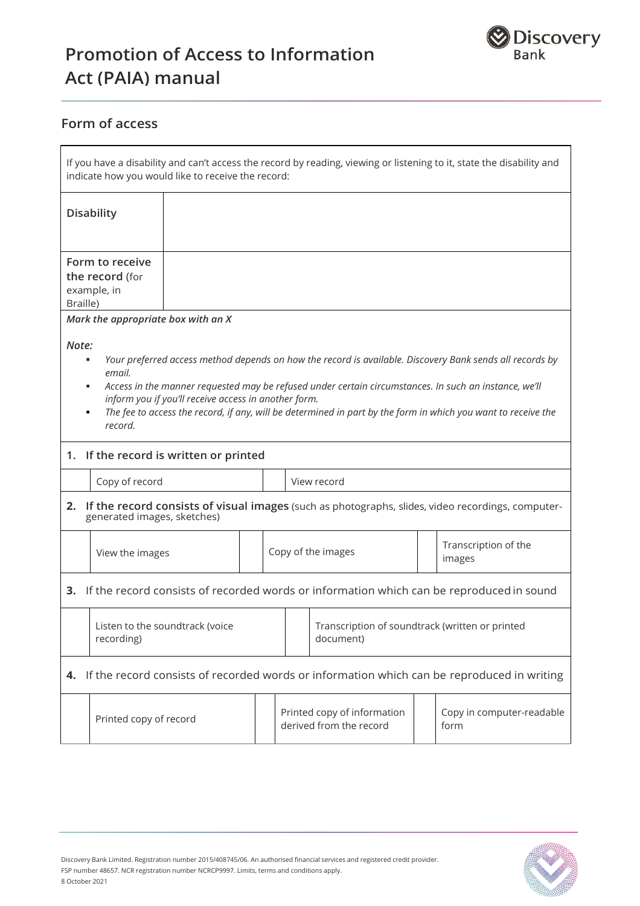

## **Form of access**

| If you have a disability and can't access the record by reading, viewing or listening to it, state the disability and<br>indicate how you would like to receive the record:                                                                                                                                                                                                                                                                                                   |  |  |                                                                |                                                              |                           |  |                                                                                                      |
|-------------------------------------------------------------------------------------------------------------------------------------------------------------------------------------------------------------------------------------------------------------------------------------------------------------------------------------------------------------------------------------------------------------------------------------------------------------------------------|--|--|----------------------------------------------------------------|--------------------------------------------------------------|---------------------------|--|------------------------------------------------------------------------------------------------------|
| <b>Disability</b>                                                                                                                                                                                                                                                                                                                                                                                                                                                             |  |  |                                                                |                                                              |                           |  |                                                                                                      |
| Form to receive<br>the record (for<br>example, in<br>Braille)                                                                                                                                                                                                                                                                                                                                                                                                                 |  |  |                                                                |                                                              |                           |  |                                                                                                      |
| Mark the appropriate box with an X<br>Note:<br>Your preferred access method depends on how the record is available. Discovery Bank sends all records by<br>٠<br>email.<br>Access in the manner requested may be refused under certain circumstances. In such an instance, we'll<br>٠<br>inform you if you'll receive access in another form.<br>The fee to access the record, if any, will be determined in part by the form in which you want to receive the<br>٠<br>record. |  |  |                                                                |                                                              |                           |  |                                                                                                      |
| 1. If the record is written or printed<br>Copy of record                                                                                                                                                                                                                                                                                                                                                                                                                      |  |  |                                                                |                                                              | View record               |  |                                                                                                      |
| generated images, sketches)                                                                                                                                                                                                                                                                                                                                                                                                                                                   |  |  |                                                                |                                                              |                           |  | 2. If the record consists of visual images (such as photographs, slides, video recordings, computer- |
| View the images                                                                                                                                                                                                                                                                                                                                                                                                                                                               |  |  | Transcription of the<br>Copy of the images<br>images           |                                                              |                           |  |                                                                                                      |
| If the record consists of recorded words or information which can be reproduced in sound<br>3.                                                                                                                                                                                                                                                                                                                                                                                |  |  |                                                                |                                                              |                           |  |                                                                                                      |
| Listen to the soundtrack (voice<br>recording)                                                                                                                                                                                                                                                                                                                                                                                                                                 |  |  |                                                                | Transcription of soundtrack (written or printed<br>document) |                           |  |                                                                                                      |
| If the record consists of recorded words or information which can be reproduced in writing<br>4.                                                                                                                                                                                                                                                                                                                                                                              |  |  |                                                                |                                                              |                           |  |                                                                                                      |
| Printed copy of record                                                                                                                                                                                                                                                                                                                                                                                                                                                        |  |  | Printed copy of information<br>derived from the record<br>form |                                                              | Copy in computer-readable |  |                                                                                                      |

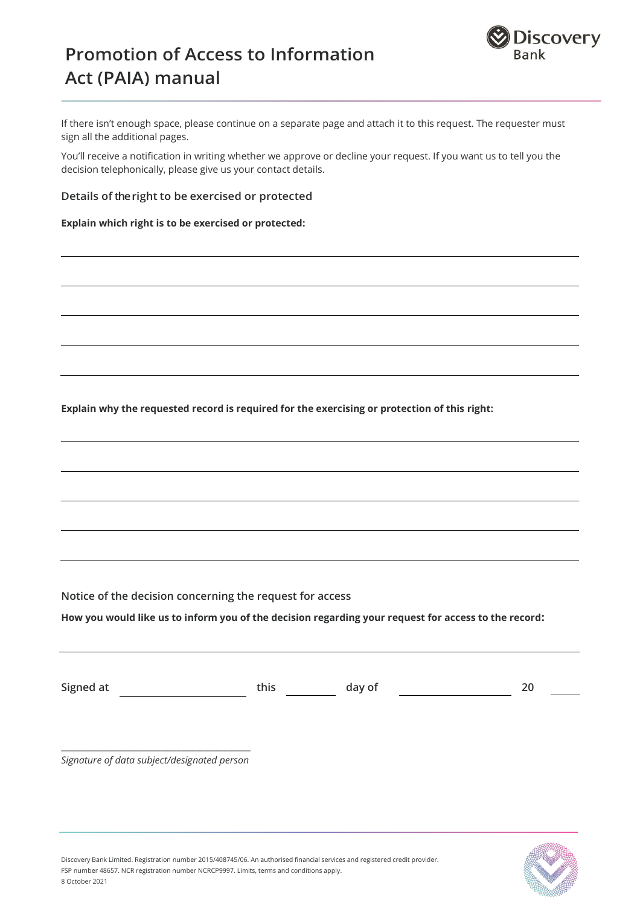

If there isn't enough space, please continue on a separate page and attach it to this request. The requester must sign all the additional pages.

You'll receive a notification in writing whether we approve or decline your request. If you want us to tell you the decision telephonically, please give us your contact details.

#### **Details of the right to be exercised or protected**

**Explain which right is to be exercised or protected:**

**Explain why the requested record is required for the exercising or protection of this right:**

**Notice of the decision concerning the request for access**

**How you would like us to inform you of the decision regarding your request for access to the record:**

| Signed at | this | day of |  |
|-----------|------|--------|--|

**\_\_\_\_\_\_\_\_\_\_\_\_\_\_\_\_\_\_\_\_\_\_\_\_\_\_\_\_\_\_\_\_\_\_\_\_\_\_\_\_\_** *Signature of data subject/designated person*



Discovery Bank Limited. Registration number 2015/408745/06. An authorised financial services and registered credit provider. FSP number 48657. NCR registration number NCRCP9997. Limits, terms and conditions apply. 8 October 2021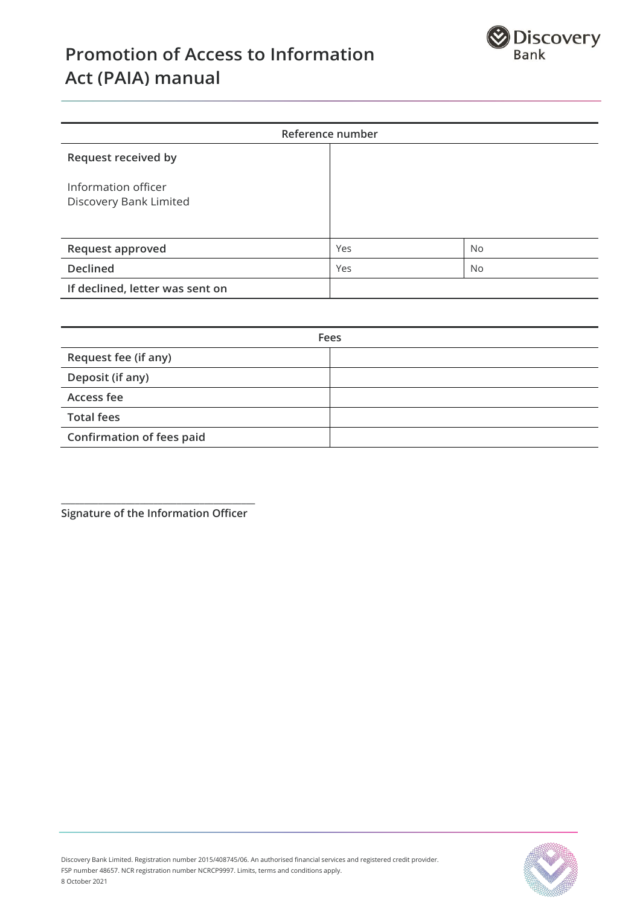

| Reference number                              |     |           |  |
|-----------------------------------------------|-----|-----------|--|
| Request received by                           |     |           |  |
| Information officer<br>Discovery Bank Limited |     |           |  |
| <b>Request approved</b>                       | Yes | <b>No</b> |  |
| <b>Declined</b>                               | Yes | <b>No</b> |  |
| If declined, letter was sent on               |     |           |  |

| Fees                             |  |  |  |
|----------------------------------|--|--|--|
| Request fee (if any)             |  |  |  |
| Deposit (if any)                 |  |  |  |
| Access fee                       |  |  |  |
| <b>Total fees</b>                |  |  |  |
| <b>Confirmation of fees paid</b> |  |  |  |

**\_\_\_\_\_\_\_\_\_\_\_\_\_\_\_\_\_\_\_\_\_\_\_\_\_\_\_\_\_\_\_\_\_\_\_\_\_\_\_\_\_\_ Signature of the Information Officer** 

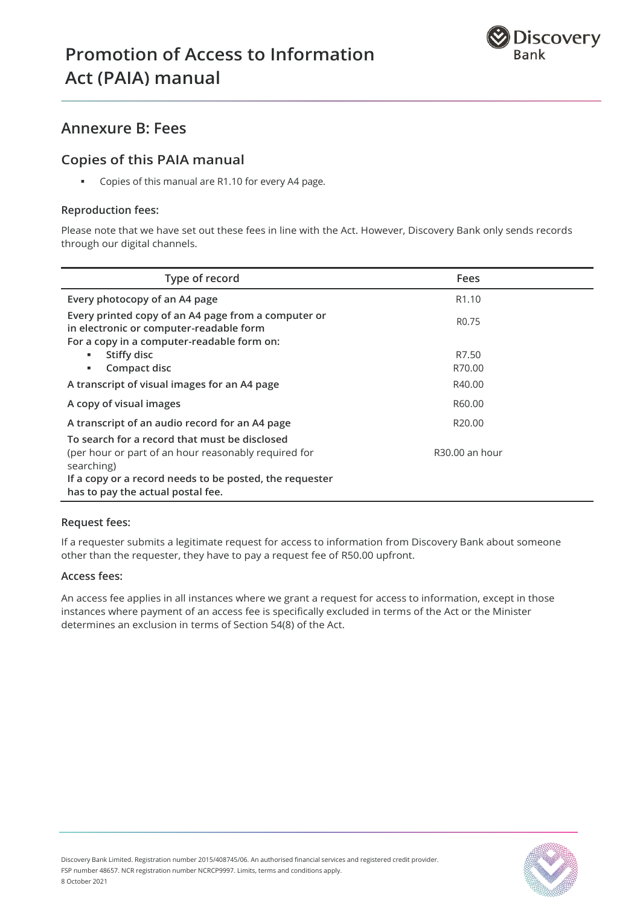

## **Annexure B: Fees**

## **Copies of this PAIA manual**

Copies of this manual are R1.10 for every A4 page.

#### **Reproduction fees:**

Please note that we have set out these fees in line with the Act. However, Discovery Bank only sends records through our digital channels.

| Type of record                                                                                                                                                                 | <b>Fees</b>        |
|--------------------------------------------------------------------------------------------------------------------------------------------------------------------------------|--------------------|
| Every photocopy of an A4 page                                                                                                                                                  | R <sub>1.10</sub>  |
| Every printed copy of an A4 page from a computer or<br>in electronic or computer-readable form                                                                                 | R <sub>0.75</sub>  |
| For a copy in a computer-readable form on:                                                                                                                                     |                    |
| Stiffy disc<br>٠                                                                                                                                                               | R7.50              |
| Compact disc<br>л.                                                                                                                                                             | R70.00             |
| A transcript of visual images for an A4 page                                                                                                                                   | R40.00             |
| A copy of visual images                                                                                                                                                        | R60.00             |
| A transcript of an audio record for an A4 page                                                                                                                                 | R <sub>20.00</sub> |
| To search for a record that must be disclosed<br>(per hour or part of an hour reasonably required for<br>searching)<br>If a copy or a record needs to be posted, the requester | R30.00 an hour     |
| has to pay the actual postal fee.                                                                                                                                              |                    |

#### **Request fees:**

If a requester submits a legitimate request for access to information from Discovery Bank about someone other than the requester, they have to pay a request fee of R50.00 upfront.

#### **Access fees:**

An access fee applies in all instances where we grant a request for access to information, except in those instances where payment of an access fee is specifically excluded in terms of the Act or the Minister determines an exclusion in terms of Section 54(8) of the Act.

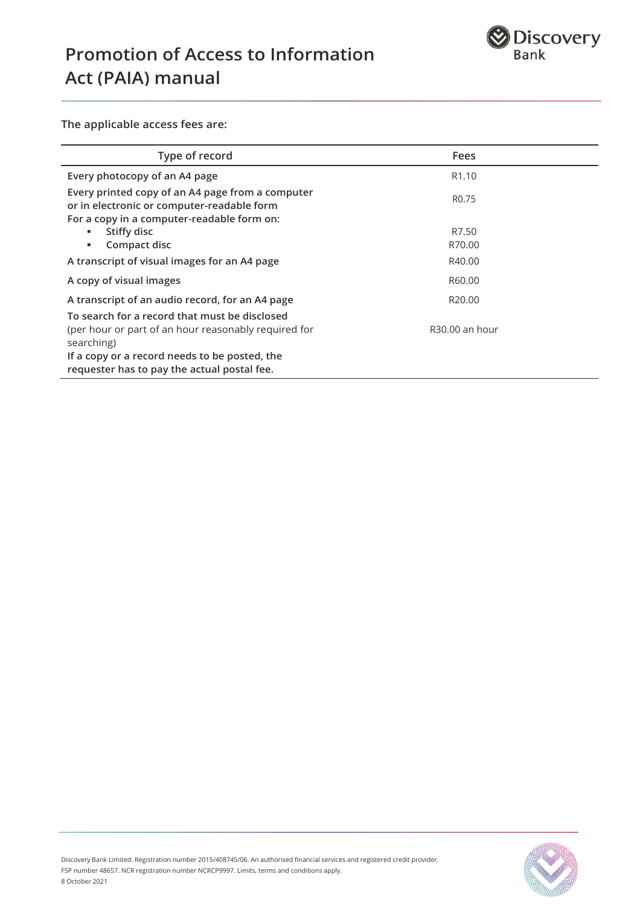

**The applicable access fees are:**

| Type of record                                                                                                                                                                                                      | <b>Fees</b>        |
|---------------------------------------------------------------------------------------------------------------------------------------------------------------------------------------------------------------------|--------------------|
| Every photocopy of an A4 page                                                                                                                                                                                       | R <sub>1.10</sub>  |
| Every printed copy of an A4 page from a computer<br>or in electronic or computer-readable form<br>For a copy in a computer-readable form on:                                                                        | R <sub>0.75</sub>  |
| Stiffy disc<br>٠.                                                                                                                                                                                                   | R7.50              |
| Compact disc<br>٠.                                                                                                                                                                                                  | R70.00             |
| A transcript of visual images for an A4 page                                                                                                                                                                        | R40.00             |
| A copy of visual images                                                                                                                                                                                             | R60.00             |
| A transcript of an audio record, for an A4 page                                                                                                                                                                     | R <sub>20.00</sub> |
| To search for a record that must be disclosed<br>(per hour or part of an hour reasonably required for<br>searching)<br>If a copy or a record needs to be posted, the<br>requester has to pay the actual postal fee. | R30.00 an hour     |

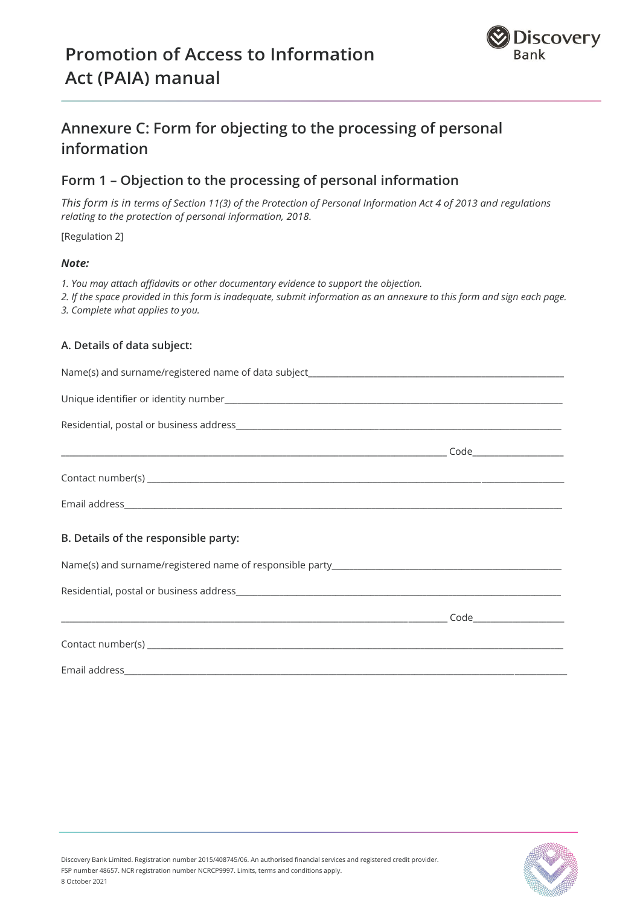

## **Annexure C: Form for objecting to the processing of personal information**

## **Form 1 – Objection to the processing of personal information**

*This form is in terms of Section 11(3) of the Protection of Personal Information Act 4 of 2013 and regulations relating to the protection of personal information, 2018.*

[Regulation 2]

#### *Note:*

- *1. You may attach affidavits or other documentary evidence to support the objection.*
- *2. If the space provided in this form is inadequate, submit information as an annexure to this form and sign each page.*
- *3. Complete what applies to you.*

#### **A. Details of data subject:**

| B. Details of the responsible party: |  |
|--------------------------------------|--|
|                                      |  |
|                                      |  |
|                                      |  |
|                                      |  |
|                                      |  |

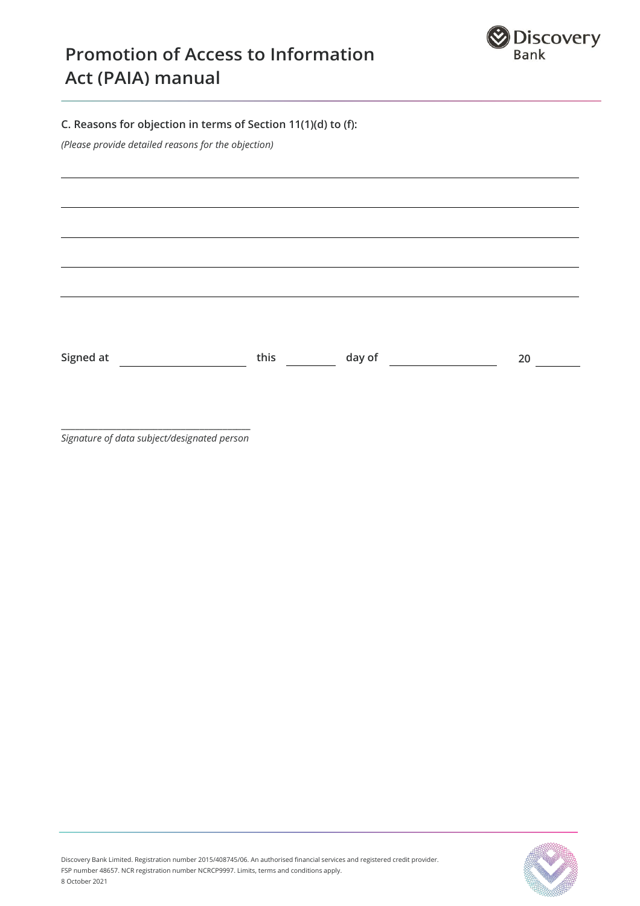

### **C. Reasons for objection in terms of Section 11(1)(d) to (f):**

*(Please provide detailed reasons for the objection)*

Signed at **this** day of **20**

**\_\_\_\_\_\_\_\_\_\_\_\_\_\_\_\_\_\_\_\_\_\_\_\_\_\_\_\_\_\_\_\_\_\_\_\_\_\_\_\_\_** *Signature of data subject/designated person*

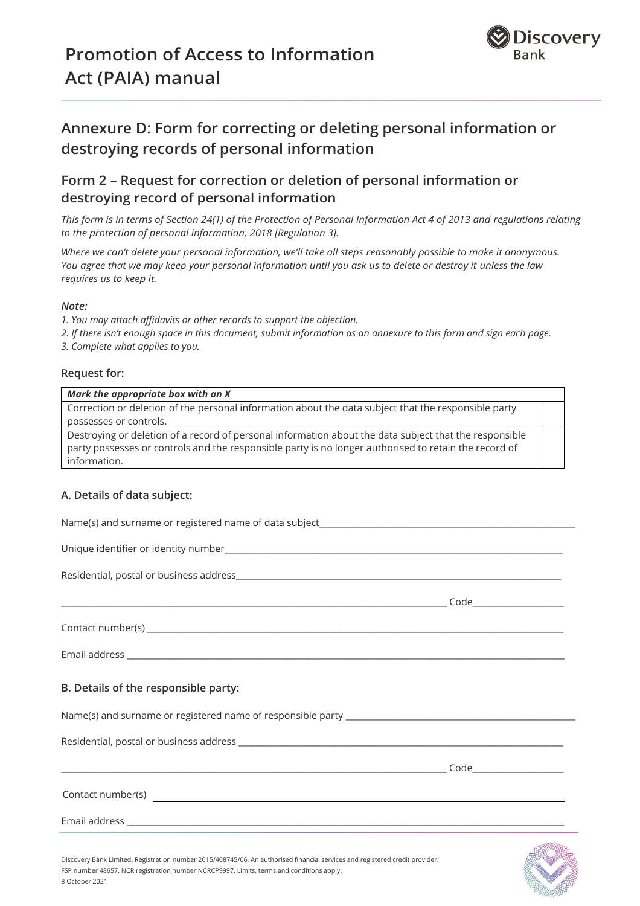

## **Annexure D: Form for correcting or deleting personal information or destroying records of personal information**

## **Form 2 – Request for correction or deletion of personal information or destroying record of personal information**

*This form is in terms of Section 24(1) of the Protection of Personal Information Act 4 of 2013 and regulations relating to the protection of personal information, 2018 [Regulation 3].*

*Where we can't delete your personal information, we'll take all steps reasonably possible to make it anonymous. You agree that we may keep your personal information until you ask us to delete or destroy it unless the law requires us to keep it.*

#### *Note:*

*1. You may attach affidavits or other records to support the objection.*

*2. If there isn't enough space in this document, submit information as an annexure to this form and sign each page.*

*3. Complete what applies to you.*

#### **Request for:**

#### *Mark the appropriate box with an X*

Correction or deletion of the personal information about the data subject that the responsible party possesses or controls.

Destroying or deletion of a record of personal information about the data subject that the responsible party possesses or controls and the responsible party is no longer authorised to retain the record of information.

#### **A. Details of data subject:**

| B. Details of the responsible party:                                                                                        |  |
|-----------------------------------------------------------------------------------------------------------------------------|--|
|                                                                                                                             |  |
|                                                                                                                             |  |
|                                                                                                                             |  |
|                                                                                                                             |  |
|                                                                                                                             |  |
| Discovery Bank Limited, Registration number 2015/408745/06. An authorised financial services and registered credit provider |  |



Discovery Bank Limited. Registration number 2015/408745/06. An authorised financial services and registered credit provider. FSP number 48657. NCR registration number NCRCP9997. Limits, terms and conditions apply. 8 October 2021